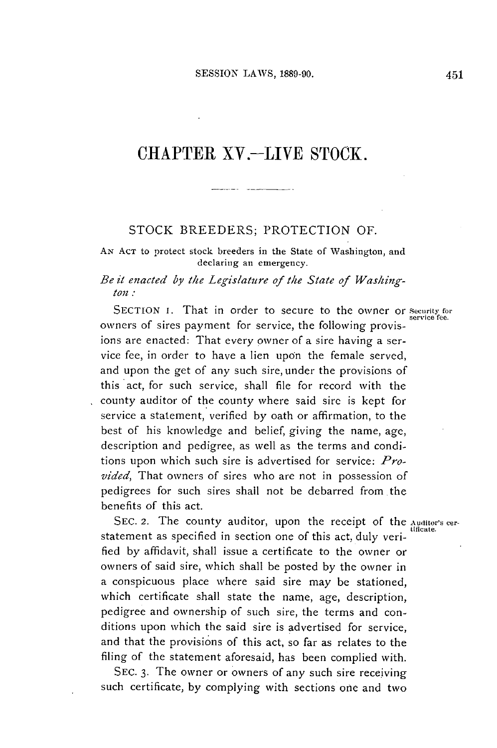# CHAPTER XV.-LIVE STOCK.

#### STOCK BREEDERS; PROTECTION OF.

**AN ACT** to protect stock breeders in the State of Washington, and declaring an emergency.

### *Be it enacted by the Legislature of the State of Washington:*

SECTION **I**. That in order to secure to the owner or *Security* for owners of sires payment for service, the following provisions are enacted: That every owner of a sire having a service fee, in order to have a lien upon the female served, and upon the get of any such sire, under the provisions of this act, for such service, shall **file** for record with the county auditor of the county where said sire is kept for service a statement, verified **by** oath or affirmation, to the best of his knowledge and belief, giving the name, age, description and pedigree, as well as the terms and conditions upon which such sire is advertised for service: *Provided,* That owners of sires who are not in possession of pedigrees for such sires shall not be debarred from the benefits of this act.

SEC. 2. The county auditor, upon the receipt of the **Auditor's** cerstatement as specified in section one of this act, duly veri**fied by** affidavit, shall issue a certificate to the owner or owners of said sire, which shall be posted **by** the owner in a conspicuous place where said sire may be stationed, which certificate shall state the name, age, description, pedigree and ownership of such sire, the terms and conditions upon which the said sire is advertised for service, and that the provisions of this act, so far as relates to the filing of the statement aforesaid, has been complied with.

**SEC. 3.** The owner or owners of any such sire receiving such certificate, **by** complying with sections one and two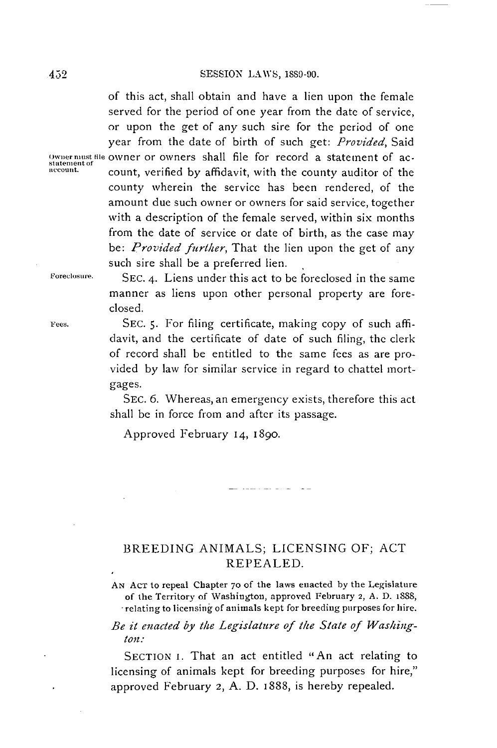of this act, shall obtain and have a lien upon the female served for the period of one year from the date of service, or upon the get of any such sire for the period of one year from the date of birth of such get: *Provided, Said* **o1wnernust ie** owner or owners shall file for record a statement of ac- **Statement of account.** count, verified **by** affidavit, with the county auditor of the county wherein the service has been rendered, of the amount due such owner or owners for said service, together with a description of the female served, within six months from the date of service or date of birth, as the case may *be: Provided further,* That the lien upon the get of any such sire shall be a preferred lien.

**Foreclosure. SEC.** 4. Liens under this act to **be** foreclosed in the same manner as liens upon other personal property are foreclosed.

**Fees. SEC. 5.** For filing certificate, making copy of such affidavit, and the certificate of date of such filing, the clerk of record shall be entitled to the same fees as are provided **by** law for similar service in regard to chattel mortgages.

> SEc. **6.** Whereas, an emergency exists, therefore this act shall **be** in force from and after its passage.

Approved February 14, 1890.

## BREEDING ANIMALS; **LICENSING** OF; **ACT** REPEALED.

الماديا بصاد بتبيتها

**AN ACT** to repeal Chapter **70 of** the laws enacted **by** the Legislature of the Territory of Washington, approved February **2, A. D.** 1888, **-** relating to licensing of animals kept for breeding purposes for hire.

### *Be it enacted by* the *Legislature of the State of Washington.-*

**SECTION** i. That an act entitled "An act relating to licensing of animals kept for breeding purposes for hire," approved February **2, A. D.** 1888, is hereby repealed.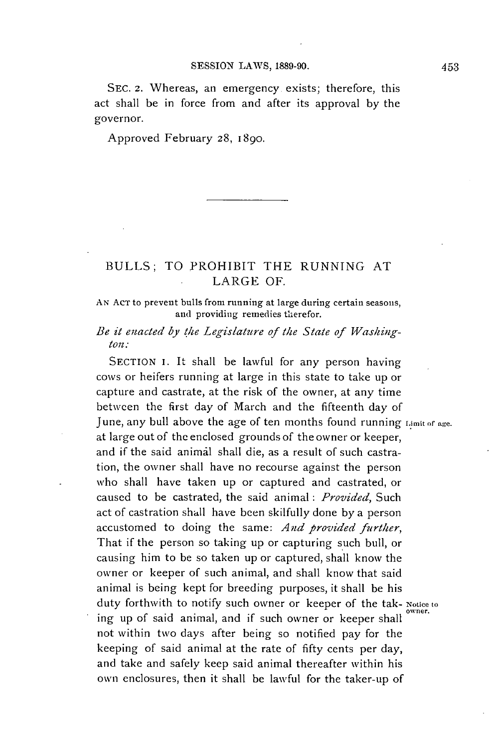**SEc.** 2. Whereas, an emergency exists; therefore, this act shall be in force from and after its approval **by** the governor.

Approved February **28, 1890.**

## **BULLS;** TO PROHIBIT THE **RUNNING AT** LARGE OF.

**AN AcT** to prevent bulls from running at large during certain seasons, and providing remedies therefor.

## *Be it enacted by the Legislature of the State of Washington:*

**SECTION I.** It shall be lawful for any person having cows or heifers running at large in this state to take up or capture and castrate, at the risk of the owner, at any time between the first day of March and the fifteenth day of June, any bull above the age of ten months found running Limit of age. at large out of the enclosed grounds of the owner or keeper, and if the said animal shall die, as a result of such castration, the owner shall have no recourse against the person who shall have taken up or captured and castrated, or caused to be castrated, the said animal: *Provided, Such* act of castration shall have been skilfully done **by** a person accustomed to doing the same: *And provided further,* That if the person so taking up or capturing such bull, or causing him to be so taken up or captured, shall know the owner or keeper of such animal, and shall know that said animal is being kept for breeding purposes, it shall be his duty forthwith to notify such owner or keeper of the tak- Notice to ing up of said animal, and if such owner or keeper shall not within two days after being so notified pay for the keeping of said animal at the rate of **fifty** cents per day, and take and safely keep said animal thereafter within his own enclosures, then it shall **be** lawful for the taker-up of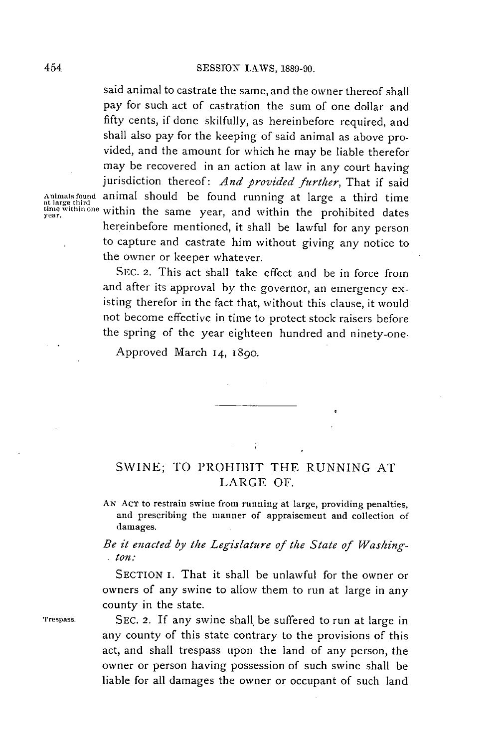said animal to castrate the same, and the owner thereof shall pay for such act of castration the sum of one dollar and **fifty** cents, if done skilfully, as hereinbefore required, and shall also pay for the keeping of said animal as above provided, and the amount for which he may be liable therefor may **be** recovered in an action at law in any court having jurisdiction thereof: *And provided further,* That if said **Animals found** animal should **be** found running at large a third time **at large third tine within one** within the same year, and within the prohibited dates hereinbefore mentioned, it shall be lawful for any person to capture and castrate him without giving any notice to the owner or keeper whatever.

> **SEC. 2.** This act shall take effect and be in force from and after its approval **by** the governor, an emergency existing therefor in the fact that, without this clause, it would not become effective in time to protect stock raisers before the spring of the year eighteen hundred and ninety-one.

Approved March *14,* **1890.**

## **SWINE;** TO PROHIBIT THE **RUNNING AT** LARGE OF.

**AN AcT** to restrain swine from running at large, providing penalties, and prescribing the manner of appraisement and collection of damages.

*Be it enacted by the Legislature of the State of Washington:*

**SECTION i.** That it shall be unlawful for the owner or owners of any swine to allow them to run at large in any county in the state.

rrespass. **SEC. 2. If** any swine shall be suffered to run at large in any county of this state contrary to the provisions of this act, and shall trespass upon the land of any person, the owner or person having possession of such swine shall be liable for all damages the owner or occupant of such land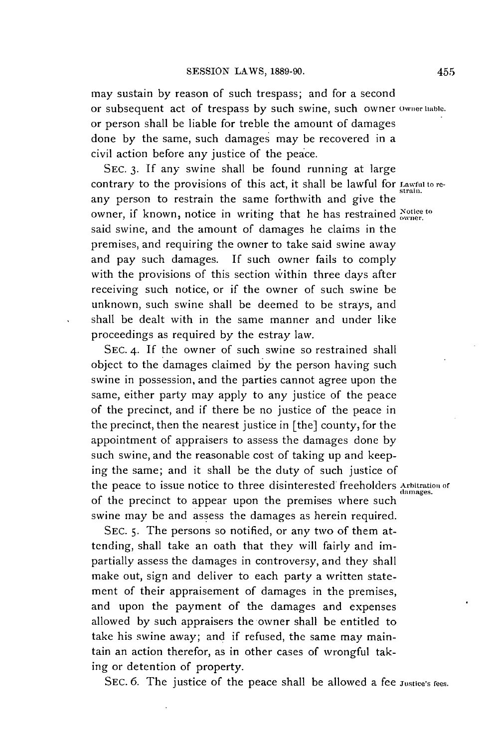may sustain **by** reason of such trespass; and for a second or subsequent act of trespass **by** such swine, such owner **Ownerlable.** or person shall be liable for treble the amount of damages done **by** the same, such damages may be recovered in a civil action before any justice of the peace.

**SEC. 3. If** any swine shall be found running at large contrary to the provisions of this act, it shall be lawful for Lawful to reany person to restrain the same forthwith and give the owner, if known, notice in writing that he has restrained **Notice to** said swine, and the amount of damages he claims in the premises, and requiring the owner to take said swine away and pay such damages. If such owner fails to comply with the provisions of this section within three days after receiving such notice, or if the owner of such swine be unknown, such swine shall be deemed to be strays, and shall be dealt with in the same manner and under like proceedings as required **by** the estray law.

**SEC.** 4. **If** the owner of such swine so restrained shall object to the damages claimed **by** the person having such swine in possession, and the parties cannot agree upon the same, either party may apply to any justice of the peace of the precinct, and if there be no justice of the peace in the precinct, then the nearest justice in [the] county, for the appointment of appraisers to assess the damages done **by** such swine, and the reasonable cost of taking up and keeping the same; and it shall be the duty of such justice of the peace to issue notice to three disinterested freeholders **Arbitration or** damages. of the precinct to appear upon the premises where such swine may be and assess the damages as herein required.

**SEC. 5.** The persons so notified, or any two of them attending, shall take an oath that they will fairly and impartially assess the damages in controversy, and they shall make out, sign and deliver to each party a written statement of their appraisement of damages in the premises, and upon the payment of the damages and expenses allowed **by** such appraisers the owner shall be entitled to take his swine away; and if refused, the same may maintain an action therefor, as in other cases of wrongful taking or detention of property.

SEC. 6. The justice of the peace shall be allowed a fee *Justice's fees*.